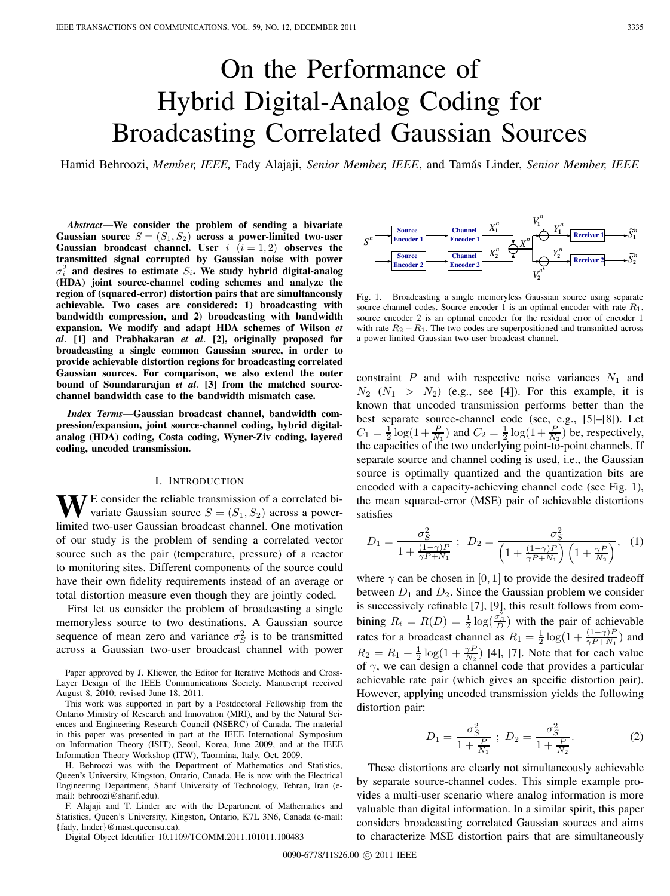# On the Performance of Hybrid Digital-Analog Coding for Broadcasting Correlated Gaussian Sources

Hamid Behroozi, *Member, IEEE,* Fady Alajaji, *Senior Member, IEEE*, and Tamás Linder, *Senior Member, IEEE*

*Abstract***—We consider the problem of sending a bivariate Gaussian source**  $S = (S_1, S_2)$  **across a power-limited two-user Gaussian broadcast channel.** User  $i$   $(i = 1, 2)$  observes the **transmitted signal corrupted by Gaussian noise with power**  $\sigma_i^2$  and desires to estimate  $S_i$ . We study hybrid digital-analog **(HDA) joint source-channel coding schemes and analyze the region of (squared-error) distortion pairs that are simultaneously achievable. Two cases are considered: 1) broadcasting with bandwidth compression, and 2) broadcasting with bandwidth expansion. We modify and adapt HDA schemes of Wilson** *et al*. **[1] and Prabhakaran** *et al*. **[2], originally proposed for broadcasting a single common Gaussian source, in order to provide achievable distortion regions for broadcasting correlated Gaussian sources. For comparison, we also extend the outer bound of Soundararajan** *et al*. **[3] from the matched sourcechannel bandwidth case to the bandwidth mismatch case.**

*Index Terms***—Gaussian broadcast channel, bandwidth compression/expansion, joint source-channel coding, hybrid digitalanalog (HDA) coding, Costa coding, Wyner-Ziv coding, layered coding, uncoded transmission.**

## I. INTRODUCTION

**W**E consider the reliable transmission of a correlated bivariate Gaussian source  $S = (S_1, S_2)$  across a powerlimited two-user Gaussian broadcast channel. One motivation of our study is the problem of sending a correlated vector source such as the pair (temperature, pressure) of a reactor to monitoring sites. Different components of the source could have their own fidelity requirements instead of an average or total distortion measure even though they are jointly coded.

First let us consider the problem of broadcasting a single memoryless source to two destinations. A Gaussian source sequence of mean zero and variance  $\sigma_S^2$  is to be transmitted across a Gaussian two-user broadcast channel with power

Paper approved by J. Kliewer, the Editor for Iterative Methods and Cross-Layer Design of the IEEE Communications Society. Manuscript received August 8, 2010; revised June 18, 2011.

This work was supported in part by a Postdoctoral Fellowship from the Ontario Ministry of Research and Innovation (MRI), and by the Natural Sciences and Engineering Research Council (NSERC) of Canada. The material in this paper was presented in part at the IEEE International Symposium on Information Theory (ISIT), Seoul, Korea, June 2009, and at the IEEE Information Theory Workshop (ITW), Taormina, Italy, Oct. 2009.

H. Behroozi was with the Department of Mathematics and Statistics, Queen's University, Kingston, Ontario, Canada. He is now with the Electrical Engineering Department, Sharif University of Technology, Tehran, Iran (email: behroozi@sharif.edu).

F. Alajaji and T. Linder are with the Department of Mathematics and Statistics, Queen's University, Kingston, Ontario, K7L 3N6, Canada (e-mail: {fady, linder}@mast.queensu.ca).

Digital Object Identifier 10.1109/TCOMM.2011.101011.100483



Fig. 1. Broadcasting a single memoryless Gaussian source using separate source-channel codes. Source encoder 1 is an optimal encoder with rate  $R_1$ , source encoder 2 is an optimal encoder for the residual error of encoder 1 with rate  $R_2 - R_1$ . The two codes are superpositioned and transmitted across a power-limited Gaussian two-user broadcast channel.

constraint  $P$  and with respective noise variances  $N_1$  and  $N_2$  ( $N_1 > N_2$ ) (e.g., see [4]). For this example, it is known that uncoded transmission performs better than the best separate source-channel code (see, e.g., [5]–[8]). Let  $C_1 = \frac{1}{2} \log(1 + \frac{P}{N_1})$  and  $C_2 = \frac{1}{2} \log(1 + \frac{P}{N_2})$  be, respectively, the capacities of the two underlying point-to-point channels. If separate source and channel coding is used, i.e., the Gaussian source is optimally quantized and the quantization bits are encoded with a capacity-achieving channel code (see Fig. 1), the mean squared-error (MSE) pair of achievable distortions satisfies

$$
D_1 = \frac{\sigma_S^2}{1 + \frac{(1 - \gamma)P}{\gamma P + N_1}} \; ; \; D_2 = \frac{\sigma_S^2}{\left(1 + \frac{(1 - \gamma)P}{\gamma P + N_1}\right)\left(1 + \frac{\gamma P}{N_2}\right)}, \; (1)
$$

where  $\gamma$  can be chosen in [0, 1] to provide the desired tradeoff between  $D_1$  and  $D_2$ . Since the Gaussian problem we consider is successively refinable [7], [9], this result follows from combining  $R_i = R(D) = \frac{1}{2} \log(\frac{\sigma_S^2}{D})$  with the pair of achievable rates for a broadcast channel as  $R_1 = \frac{1}{2} \log(1 + \frac{(1-\gamma)P}{\gamma P + N_1})$  and  $R_2 = R_1 + \frac{1}{2} \log(1 + \frac{\gamma P}{N_2})$  [4], [7]. Note that for each value of  $\gamma$ , we can design a channel code that provides a particular achievable rate pair (which gives an specific distortion pair). However, applying uncoded transmission yields the following distortion pair:

$$
D_1 = \frac{\sigma_S^2}{1 + \frac{P}{N_1}} \; ; \; D_2 = \frac{\sigma_S^2}{1 + \frac{P}{N_2}}. \tag{2}
$$

These distortions are clearly not simultaneously achievable by separate source-channel codes. This simple example provides a multi-user scenario where analog information is more valuable than digital information. In a similar spirit, this paper considers broadcasting correlated Gaussian sources and aims to characterize MSE distortion pairs that are simultaneously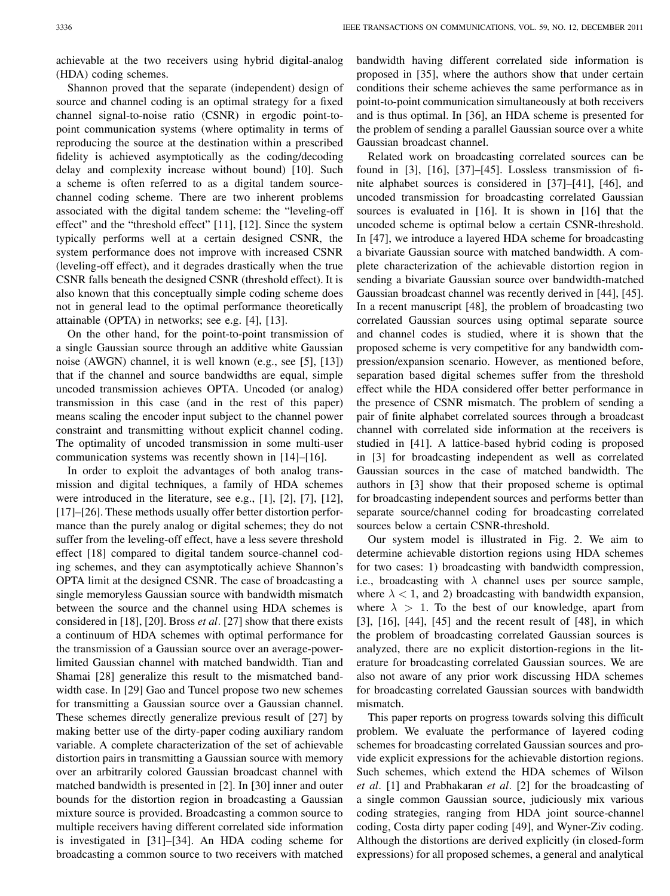achievable at the two receivers using hybrid digital-analog (HDA) coding schemes.

Shannon proved that the separate (independent) design of source and channel coding is an optimal strategy for a fixed channel signal-to-noise ratio (CSNR) in ergodic point-topoint communication systems (where optimality in terms of reproducing the source at the destination within a prescribed fidelity is achieved asymptotically as the coding/decoding delay and complexity increase without bound) [10]. Such a scheme is often referred to as a digital tandem sourcechannel coding scheme. There are two inherent problems associated with the digital tandem scheme: the "leveling-off effect" and the "threshold effect" [11], [12]. Since the system typically performs well at a certain designed CSNR, the system performance does not improve with increased CSNR (leveling-off effect), and it degrades drastically when the true CSNR falls beneath the designed CSNR (threshold effect). It is also known that this conceptually simple coding scheme does not in general lead to the optimal performance theoretically attainable (OPTA) in networks; see e.g. [4], [13].

On the other hand, for the point-to-point transmission of a single Gaussian source through an additive white Gaussian noise (AWGN) channel, it is well known (e.g., see [5], [13]) that if the channel and source bandwidths are equal, simple uncoded transmission achieves OPTA. Uncoded (or analog) transmission in this case (and in the rest of this paper) means scaling the encoder input subject to the channel power constraint and transmitting without explicit channel coding. The optimality of uncoded transmission in some multi-user communication systems was recently shown in [14]–[16].

In order to exploit the advantages of both analog transmission and digital techniques, a family of HDA schemes were introduced in the literature, see e.g., [1], [2], [7], [12], [17]–[26]. These methods usually offer better distortion performance than the purely analog or digital schemes; they do not suffer from the leveling-off effect, have a less severe threshold effect [18] compared to digital tandem source-channel coding schemes, and they can asymptotically achieve Shannon's OPTA limit at the designed CSNR. The case of broadcasting a single memoryless Gaussian source with bandwidth mismatch between the source and the channel using HDA schemes is considered in [18], [20]. Bross *et al*. [27] show that there exists a continuum of HDA schemes with optimal performance for the transmission of a Gaussian source over an average-powerlimited Gaussian channel with matched bandwidth. Tian and Shamai [28] generalize this result to the mismatched bandwidth case. In [29] Gao and Tuncel propose two new schemes for transmitting a Gaussian source over a Gaussian channel. These schemes directly generalize previous result of [27] by making better use of the dirty-paper coding auxiliary random variable. A complete characterization of the set of achievable distortion pairs in transmitting a Gaussian source with memory over an arbitrarily colored Gaussian broadcast channel with matched bandwidth is presented in [2]. In [30] inner and outer bounds for the distortion region in broadcasting a Gaussian mixture source is provided. Broadcasting a common source to multiple receivers having different correlated side information is investigated in [31]–[34]. An HDA coding scheme for broadcasting a common source to two receivers with matched bandwidth having different correlated side information is proposed in [35], where the authors show that under certain conditions their scheme achieves the same performance as in point-to-point communication simultaneously at both receivers and is thus optimal. In [36], an HDA scheme is presented for the problem of sending a parallel Gaussian source over a white Gaussian broadcast channel.

Related work on broadcasting correlated sources can be found in [3], [16], [37]–[45]. Lossless transmission of finite alphabet sources is considered in [37]–[41], [46], and uncoded transmission for broadcasting correlated Gaussian sources is evaluated in [16]. It is shown in [16] that the uncoded scheme is optimal below a certain CSNR-threshold. In [47], we introduce a layered HDA scheme for broadcasting a bivariate Gaussian source with matched bandwidth. A complete characterization of the achievable distortion region in sending a bivariate Gaussian source over bandwidth-matched Gaussian broadcast channel was recently derived in [44], [45]. In a recent manuscript [48], the problem of broadcasting two correlated Gaussian sources using optimal separate source and channel codes is studied, where it is shown that the proposed scheme is very competitive for any bandwidth compression/expansion scenario. However, as mentioned before, separation based digital schemes suffer from the threshold effect while the HDA considered offer better performance in the presence of CSNR mismatch. The problem of sending a pair of finite alphabet correlated sources through a broadcast channel with correlated side information at the receivers is studied in [41]. A lattice-based hybrid coding is proposed in [3] for broadcasting independent as well as correlated Gaussian sources in the case of matched bandwidth. The authors in [3] show that their proposed scheme is optimal for broadcasting independent sources and performs better than separate source/channel coding for broadcasting correlated sources below a certain CSNR-threshold.

Our system model is illustrated in Fig. 2. We aim to determine achievable distortion regions using HDA schemes for two cases: 1) broadcasting with bandwidth compression, i.e., broadcasting with  $\lambda$  channel uses per source sample, where  $\lambda$  < 1, and 2) broadcasting with bandwidth expansion, where  $\lambda > 1$ . To the best of our knowledge, apart from [3], [16], [44], [45] and the recent result of [48], in which the problem of broadcasting correlated Gaussian sources is analyzed, there are no explicit distortion-regions in the literature for broadcasting correlated Gaussian sources. We are also not aware of any prior work discussing HDA schemes for broadcasting correlated Gaussian sources with bandwidth mismatch.

This paper reports on progress towards solving this difficult problem. We evaluate the performance of layered coding schemes for broadcasting correlated Gaussian sources and provide explicit expressions for the achievable distortion regions. Such schemes, which extend the HDA schemes of Wilson *et al*. [1] and Prabhakaran *et al*. [2] for the broadcasting of a single common Gaussian source, judiciously mix various coding strategies, ranging from HDA joint source-channel coding, Costa dirty paper coding [49], and Wyner-Ziv coding. Although the distortions are derived explicitly (in closed-form expressions) for all proposed schemes, a general and analytical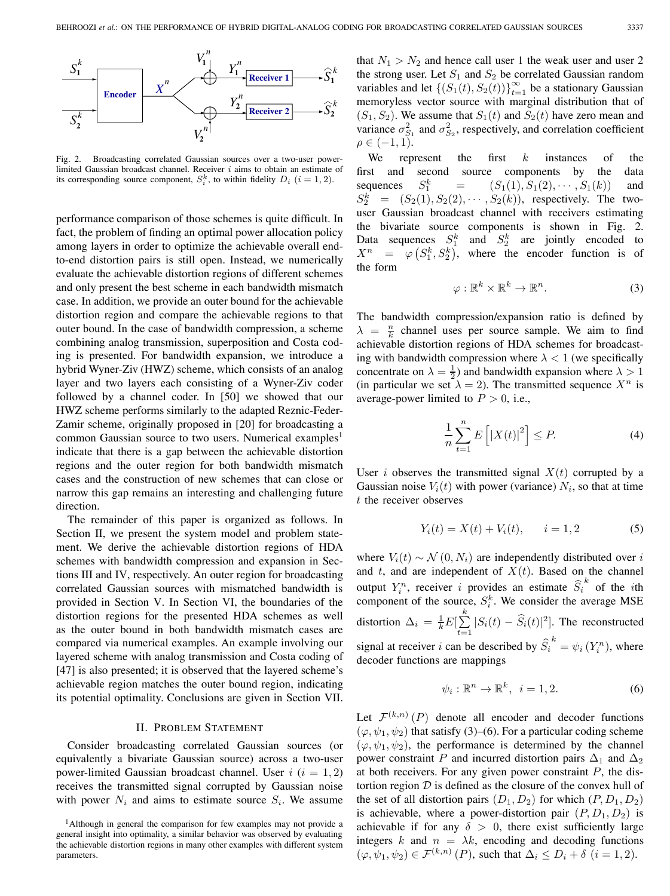

Fig. 2. Broadcasting correlated Gaussian sources over a two-user powerlimited Gaussian broadcast channel. Receiver  $i$  aims to obtain an estimate of its corresponding source component,  $S_i^k$ , to within fidelity  $D_i$   $(i = 1, 2)$ .

performance comparison of those schemes is quite difficult. In fact, the problem of finding an optimal power allocation policy among layers in order to optimize the achievable overall endto-end distortion pairs is still open. Instead, we numerically evaluate the achievable distortion regions of different schemes and only present the best scheme in each bandwidth mismatch case. In addition, we provide an outer bound for the achievable distortion region and compare the achievable regions to that outer bound. In the case of bandwidth compression, a scheme combining analog transmission, superposition and Costa coding is presented. For bandwidth expansion, we introduce a hybrid Wyner-Ziv (HWZ) scheme, which consists of an analog layer and two layers each consisting of a Wyner-Ziv coder followed by a channel coder. In [50] we showed that our HWZ scheme performs similarly to the adapted Reznic-Feder-Zamir scheme, originally proposed in [20] for broadcasting a common Gaussian source to two users. Numerical examples<sup>1</sup> indicate that there is a gap between the achievable distortion regions and the outer region for both bandwidth mismatch cases and the construction of new schemes that can close or narrow this gap remains an interesting and challenging future direction.

The remainder of this paper is organized as follows. In Section II, we present the system model and problem statement. We derive the achievable distortion regions of HDA schemes with bandwidth compression and expansion in Sections III and IV, respectively. An outer region for broadcasting correlated Gaussian sources with mismatched bandwidth is provided in Section V. In Section VI, the boundaries of the distortion regions for the presented HDA schemes as well as the outer bound in both bandwidth mismatch cases are compared via numerical examples. An example involving our layered scheme with analog transmission and Costa coding of [47] is also presented; it is observed that the layered scheme's achievable region matches the outer bound region, indicating its potential optimality. Conclusions are given in Section VII.

## II. PROBLEM STATEMENT

Consider broadcasting correlated Gaussian sources (or equivalently a bivariate Gaussian source) across a two-user power-limited Gaussian broadcast channel. User  $i$  ( $i = 1, 2$ ) receives the transmitted signal corrupted by Gaussian noise with power  $N_i$  and aims to estimate source  $S_i$ . We assume that  $N_1 > N_2$  and hence call user 1 the weak user and user 2 the strong user. Let  $S_1$  and  $S_2$  be correlated Gaussian random variables and let  $\{(S_1(t), S_2(t))\}_{t=1}^{\infty}$  be a stationary Gaussian memoryless vector source with marginal distribution that of  $(S_1, S_2)$ . We assume that  $S_1(t)$  and  $S_2(t)$  have zero mean and variance  $\sigma_{S_1}^2$  and  $\sigma_{S_2}^2$ , respectively, and correlation coefficient  $\rho \in (-1,1).$ 

We represent the first  $k$  instances of the first and second source components by the data sequences  $S_1^k$  $=$   $(S_1(1), S_1(2), \cdots, S_1(k))$  and  $S_2^k = (S_2(1), S_2(2), \cdots, S_2(k))$ , respectively. The twouser Gaussian broadcast channel with receivers estimating the bivariate source components is shown in Fig. 2. Data sequences  $S_1^k$  and  $S_2^k$  are jointly encoded to  $X^n = \left( \varphi \left( S_1^k, S_2^k \right) \right)$ , where the encoder function is of the form

$$
\varphi: \mathbb{R}^k \times \mathbb{R}^k \to \mathbb{R}^n. \tag{3}
$$

The bandwidth compression/expansion ratio is defined by  $\lambda = \frac{n}{k}$  channel uses per source sample. We aim to find achievable distortion regions of HDA schemes for broadcasting with bandwidth compression where  $\lambda < 1$  (we specifically concentrate on  $\lambda = \frac{1}{2}$  and bandwidth expansion where  $\lambda > 1$ (in particular we set  $\lambda = 2$ ). The transmitted sequence  $X^n$  is average-power limited to  $P > 0$ , i.e.,

$$
\frac{1}{n}\sum_{t=1}^{n}E\left[|X(t)|^{2}\right] \le P.\tag{4}
$$

User *i* observes the transmitted signal  $X(t)$  corrupted by a Gaussian noise  $V_i(t)$  with power (variance)  $N_i$ , so that at time  $t$  the receiver observes

$$
Y_i(t) = X(t) + V_i(t), \t i = 1,2 \t (5)
$$

where  $V_i(t) \sim \mathcal{N}(0, N_i)$  are independently distributed over i and  $t$ , and are independent of  $X(t)$ . Based on the channel output  $Y_i^n$ , receiver i provides an estimate  $\widehat{S}_i^k$  of the *i*th component of the source,  $S_i^k$ . We consider the average MSE distortion  $\Delta_i = \frac{1}{k} E[\sum_{i=1}^{k} |S_i(t) - \hat{S}_i(t)|^2]$ . The reconstructed  $t = 1$ signal at receiver *i* can be described by  $\hat{S}_i^k = \psi_i(Y_i^n)$ , where decoder functions are mappings

$$
\psi_i: \mathbb{R}^n \to \mathbb{R}^k, \quad i = 1, 2. \tag{6}
$$

Let  $\mathcal{F}^{(k,n)}(P)$  denote all encoder and decoder functions  $(\varphi, \psi_1, \psi_2)$  that satisfy (3)–(6). For a particular coding scheme  $(\varphi, \psi_1, \psi_2)$ , the performance is determined by the channel power constraint P and incurred distortion pairs  $\Delta_1$  and  $\Delta_2$ at both receivers. For any given power constraint  $P$ , the distortion region  $D$  is defined as the closure of the convex hull of the set of all distortion pairs  $(D_1, D_2)$  for which  $(P, D_1, D_2)$ is achievable, where a power-distortion pair  $(P, D_1, D_2)$  is achievable if for any  $\delta > 0$ , there exist sufficiently large integers k and  $n = \lambda k$ , encoding and decoding functions  $(\varphi, \psi_1, \psi_2) \in \mathcal{F}^{(k,n)}(P)$ , such that  $\Delta_i \leq D_i + \delta$   $(i = 1, 2)$ .

<sup>&</sup>lt;sup>1</sup>Although in general the comparison for few examples may not provide a general insight into optimality, a similar behavior was observed by evaluating the achievable distortion regions in many other examples with different system parameters.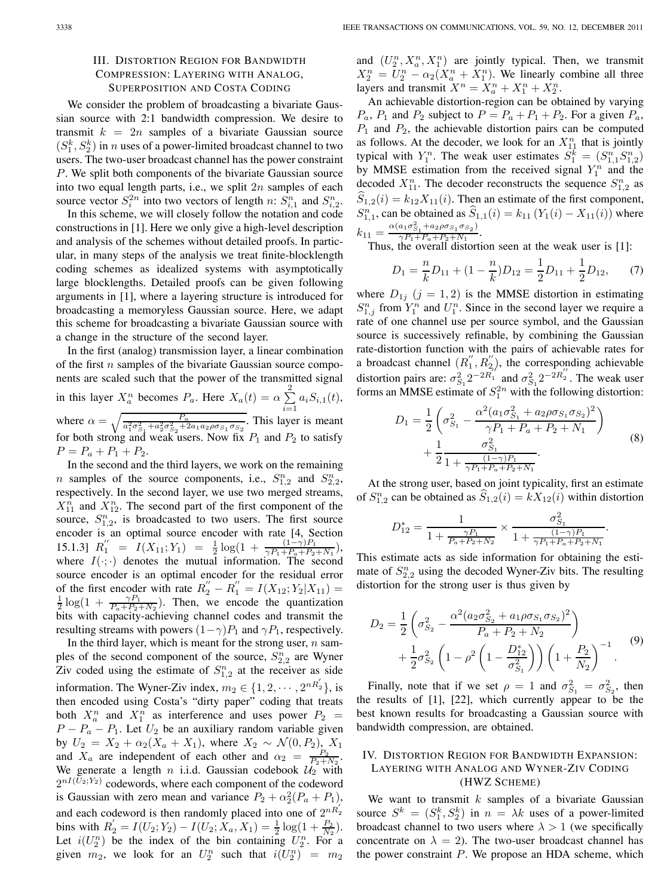# III. DISTORTION REGION FOR BANDWIDTH COMPRESSION: LAYERING WITH ANALOG, SUPERPOSITION AND COSTA CODING

We consider the problem of broadcasting a bivariate Gaussian source with 2:1 bandwidth compression. We desire to transmit  $k = 2n$  samples of a bivariate Gaussian source  $(S_1^k, S_2^k)$  in *n* uses of a power-limited broadcast channel to two users. The two-user broadcast channel has the power constraint . We split both components of the bivariate Gaussian source into two equal length parts, i.e., we split  $2n$  samples of each source vector  $S_i^{2n}$  into two vectors of length n:  $S_{i,1}^n$  and  $S_{i,2}^n$ .

In this scheme, we will closely follow the notation and code constructions in [1]. Here we only give a high-level description and analysis of the schemes without detailed proofs. In particular, in many steps of the analysis we treat finite-blocklength coding schemes as idealized systems with asymptotically large blocklengths. Detailed proofs can be given following arguments in [1], where a layering structure is introduced for broadcasting a memoryless Gaussian source. Here, we adapt this scheme for broadcasting a bivariate Gaussian source with a change in the structure of the second layer.

In the first (analog) transmission layer, a linear combination of the first  $n$  samples of the bivariate Gaussian source components are scaled such that the power of the transmitted signal in this layer  $X_a^n$  becomes  $P_a$ . Here  $X_a(t) = \alpha \sum^2 a_i S_{i,1}(t)$ , where  $\alpha = \sqrt{\frac{P_a}{a_1^2 \sigma_{S_1}^2 + a_2^2 \sigma_{S_2}^2 + 2a_1 a_2 \rho \sigma_{S_1} \sigma_{S_2}^2}}$ . This layer is meant for both strong and weak users. Now fix  $P_1$  and  $P_2$  to satisfy  $P = P_a + P_1 + P_2.$ 

In the second and the third layers, we work on the remaining *n* samples of the source components, i.e.,  $S_{1,2}^n$  and  $S_{2,2}^n$ , respectively. In the second layer, we use two merged streams,  $X_{11}^n$  and  $X_{12}^n$ . The second part of the first component of the source,  $S_{1,2}^n$ , is broadcasted to two users. The first source encoder is an optimal source encoder with rate [4, Section 15.1.3]  $R_1'' = I(X_{11}; Y_1) = \frac{1}{2} \log(1 + \frac{(1-\gamma)P_1}{\gamma P_1 + P_a + P_2 + N_1}),$ where  $I(\cdot; \cdot)$  denotes the mutual information. The second source encoder is an optimal encoder for the residual error of the first encoder with rate  $R_2'' - R_1'' = I(X_{12}; Y_2 | X_{11}) =$  $\frac{1}{2} \log(1 + \frac{\gamma P_1}{P_a + P_2 + N_2})$ . Then, we encode the quantization bits with capacity-achieving channel codes and transmit the resulting streams with powers  $(1-\gamma)P_1$  and  $\gamma P_1$ , respectively.

In the third layer, which is meant for the strong user,  $n$  samples of the second component of the source,  $S_{2,2}^n$  are Wyner Ziv coded using the estimate of  $S_{1,2}^n$  at the receiver as side information. The Wyner-Ziv index,  $m_2 \in \{1, 2, \cdots, 2^{nR_2}\}\,$  is then encoded using Costa's "dirty paper" coding that treats both  $X_a^n$  and  $X_1^n$  as interference and uses power  $P_2 =$  $P - P_a - P_1$ . Let  $U_2$  be an auxiliary random variable given by  $U_2 = X_2 + \alpha_2 (X_a + X_1)$ , where  $X_2 \sim \mathcal{N}(0, P_2)$ ,  $X_1$ and  $X_a$  are independent of each other and  $\alpha_2 = \frac{P_2}{P_2 + N_2}$ . We generate a length *n* i.i.d. Gaussian codebook  $\mathcal{U}_2$  with  $2^{nI(\bar{U}_2;Y_2)}$  codewords, where each component of the codeword is Gaussian with zero mean and variance  $P_2 + \alpha_2^2(P_a + P_1)$ , and each codeword is then randomly placed into one of  $2^{nR'_2}$ bins with  $R'_2 = I(U_2; Y_2) - I(U_2; X_a, X_1) = \frac{1}{2} \log(1 + \frac{P_2}{N_2}).$ Let  $i(U_2^n)$  be the index of the bin containing  $U_2^n$ . For a given  $m_2$ , we look for an  $U_2^n$  such that  $i(U_2^n) = m_2$ 

and  $(U_2^n, X_a^n, X_1^n)$  are jointly typical. Then, we transmit  $X_2^n = U_2^n - \alpha_2(X_a^n + X_1^n)$ . We linearly combine all three layers and transmit  $X^n = X_a^n + X_1^n + X_2^n$ .

An achievable distortion-region can be obtained by varying  $P_a$ ,  $P_1$  and  $P_2$  subject to  $P = P_a + P_1 + P_2$ . For a given  $P_a$ ,  $P_1$  and  $P_2$ , the achievable distortion pairs can be computed as follows. At the decoder, we look for an  $X_{11}^n$  that is jointly typical with  $Y_1^n$ . The weak user estimates  $S_1^k = (S_{1,1}^n S_{1,2}^n)$ by MMSE estimation from the received signal  $Y_1^n$  and the decoded  $X_{11}^n$ . The decoder reconstructs the sequence  $S_{1,2}^n$  as  $S_{1,2}(i) = k_{12}X_{11}(i)$ . Then an estimate of the first component,  $S_{1,1}^n$ , can be obtained as  $\hat{S}_{1,1}(i) = k_{11} (Y_1(i) - X_{11}(i))$  where  $k_{11} = \frac{\alpha (a_1 \sigma_{S_1}^2 + a_2 \rho \sigma_{S_1} \sigma_{S_2})}{\gamma P_1 + P_a + P_2 + N_1}.$ 

Thus, the overall distortion seen at the weak user is [1]:

$$
D_1 = \frac{n}{k}D_{11} + (1 - \frac{n}{k})D_{12} = \frac{1}{2}D_{11} + \frac{1}{2}D_{12},\qquad(7)
$$

where  $D_{1j}$   $(j = 1, 2)$  is the MMSE distortion in estimating  $S_{1,j}^n$  from  $Y_1^n$  and  $U_1^n$ . Since in the second layer we require a rate of one channel use per source symbol, and the Gaussian source is successively refinable, by combining the Gaussian rate-distortion function with the pairs of achievable rates for a broadcast channel  $(R_1'', R_2'')$ , the corresponding achievable distortion pairs are:  $\sigma_{S_1}^2 2^{-2R_1''}$  and  $\sigma_{S_1}^2 2^{-2R_2''}$ . The weak user forms an MMSE estimate of  $S_1^{2n}$  with the following distortion:

$$
D_1 = \frac{1}{2} \left( \sigma_{S_1}^2 - \frac{\alpha^2 (a_1 \sigma_{S_1}^2 + a_2 \rho \sigma_{S_1} \sigma_{S_2})^2}{\gamma P_1 + P_a + P_2 + N_1} \right) + \frac{1}{2} \frac{\sigma_{S_1}^2}{1 + \frac{(1 - \gamma)P_1}{\gamma P_1 + P_a + P_2 + N_1}}.
$$
\n(8)

At the strong user, based on joint typicality, first an estimate of  $S_{1,2}^n$  can be obtained as  $\hat{S}_{1,2}(i) = kX_{12}(i)$  within distortion

$$
D_{12}^{*} = \frac{1}{1 + \frac{\gamma P_1}{P_a + P_2 + N_2}} \times \frac{\sigma_{S_1}^2}{1 + \frac{(1 - \gamma)P_1}{\gamma P_1 + P_a + P_2 + N_1}}.
$$

This estimate acts as side information for obtaining the estimate of  $S_{2,2}^n$  using the decoded Wyner-Ziv bits. The resulting distortion for the strong user is thus given by

$$
D_2 = \frac{1}{2} \left( \sigma_{S_2}^2 - \frac{\alpha^2 (a_2 \sigma_{S_2}^2 + a_1 \rho \sigma_{S_1} \sigma_{S_2})^2}{P_a + P_2 + N_2} \right) + \frac{1}{2} \sigma_{S_2}^2 \left( 1 - \rho^2 \left( 1 - \frac{D_{12}^*}{\sigma_{S_1}^2} \right) \right) \left( 1 + \frac{P_2}{N_2} \right)^{-1} .
$$
 (9)

Finally, note that if we set  $\rho = 1$  and  $\sigma_{S_1}^2 = \sigma_{S_2}^2$ , then the results of [1], [22], which currently appear to be the best known results for broadcasting a Gaussian source with bandwidth compression, are obtained.

## IV. DISTORTION REGION FOR BANDWIDTH EXPANSION: LAYERING WITH ANALOG AND WYNER-ZIV CODING (HWZ SCHEME)

We want to transmit  $k$  samples of a bivariate Gaussian source  $S^k = (S_1^k, S_2^k)$  in  $n = \lambda k$  uses of a power-limited broadcast channel to two users where  $\lambda > 1$  (we specifically concentrate on  $\lambda = 2$ ). The two-user broadcast channel has the power constraint  $P$ . We propose an HDA scheme, which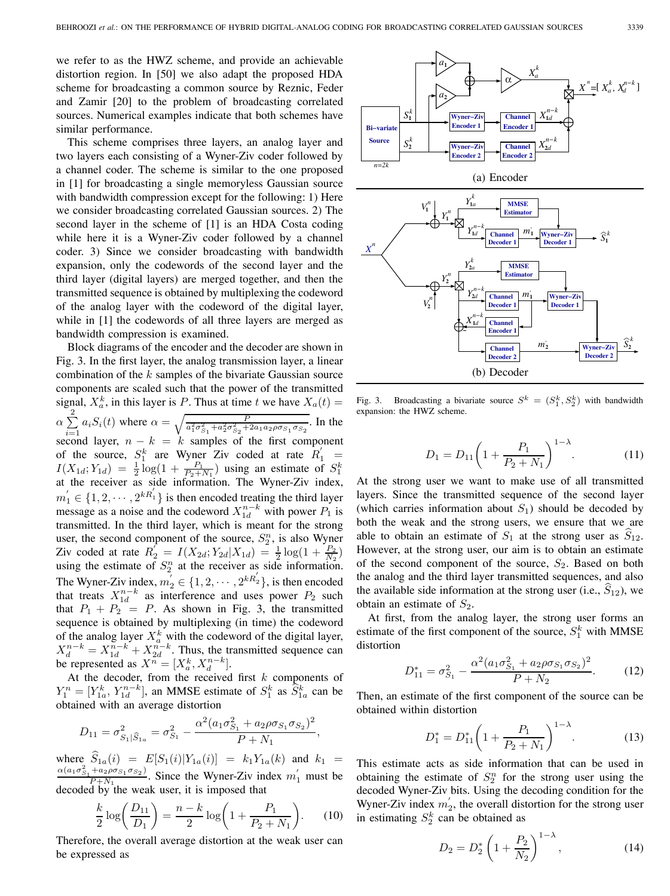we refer to as the HWZ scheme, and provide an achievable distortion region. In [50] we also adapt the proposed HDA scheme for broadcasting a common source by Reznic, Feder and Zamir [20] to the problem of broadcasting correlated sources. Numerical examples indicate that both schemes have similar performance.

This scheme comprises three layers, an analog layer and two layers each consisting of a Wyner-Ziv coder followed by a channel coder. The scheme is similar to the one proposed in [1] for broadcasting a single memoryless Gaussian source with bandwidth compression except for the following: 1) Here we consider broadcasting correlated Gaussian sources. 2) The second layer in the scheme of [1] is an HDA Costa coding while here it is a Wyner-Ziv coder followed by a channel coder. 3) Since we consider broadcasting with bandwidth expansion, only the codewords of the second layer and the third layer (digital layers) are merged together, and then the transmitted sequence is obtained by multiplexing the codeword of the analog layer with the codeword of the digital layer, while in [1] the codewords of all three layers are merged as bandwidth compression is examined.

Block diagrams of the encoder and the decoder are shown in Fig. 3. In the first layer, the analog transmission layer, a linear combination of the  $k$  samples of the bivariate Gaussian source components are scaled such that the power of the transmitted signal,  $X_a^k$ , in this layer is P. Thus at time t we have  $X_a(t) =$  $\alpha \sum_{i=1}^{2} a_i S_i(t)$  where  $\alpha = \sqrt{\frac{P}{a_1^2 \sigma_{S_1}^2 + a_2^2 \sigma_{S_2}^2 + 2a_1 a_2 \rho \sigma_{S_1} \sigma_{S_2}}}$ . In the  $e^{i=1}$  second layer,  $n - k = k$  samples of the first component of the source,  $S_1^k$  are Wyner Ziv coded at rate  $R'_1$  =  $I(X_{1d}; Y_{1d}) = \frac{1}{2} \log(1 + \frac{P_1}{P_2 + N_1})$  using an estimate of  $S_1^k$  at the receiver as side information. The Wyner-Ziv index,  $m_1' \in \{1, 2, \cdots, 2^{kR_1'}\}$  is then encoded treating the third layer message as a noise and the codeword  $X_{1d}^{n-k}$  with power  $P_1$  is transmitted. In the third layer, which is meant for the strong user, the second component of the source,  $S_2^n$ , is also Wyner Ziv coded at rate  $R_2' = I(X_{2d}; Y_{2d} | X_{1d}) = \frac{1}{2} \log(1 + \frac{P_2}{N_2})$ using the estimate of  $S_2^n$  at the receiver as side information. The Wyner-Ziv index,  $m_2' \in \{1, 2, \cdots, 2^{kR_2'}\}$ , is then encoded that treats  $X_{1d}^{n-k}$  as interference and uses power  $P_2$  such that  $P_1 + P_2 = P$ . As shown in Fig. 3, the transmitted sequence is obtained by multiplexing (in time) the codeword of the analog layer  $X_a^k$  with the codeword of the digital layer,  $X_d^{n-k} = X_{1d}^{n-k} + X_{2d}^{n-k}$ . Thus, the transmitted sequence can be represented as  $X^n = [X_a^k, X_a^{n-k}]$ .

At the decoder, from the received first  $k$  components of  $Y_1^n = [Y_{1a}^k, Y_{1d}^{n-k}]$ , an MMSE estimate of  $S_1^k$  as  $\widehat{S}_{1a}^k$  can be obtained with an average distortion

$$
D_{11} = \sigma_{S_1|\widehat{S}_{1a}}^2 = \sigma_{S_1}^2 - \frac{\alpha^2 (a_1 \sigma_{S_1}^2 + a_2 \rho \sigma_{S_1} \sigma_{S_2})^2}{P + N_1},
$$

where  $S_{1a}(i) = E[S_1(i)|Y_{1a}(i)] = k_1Y_{1a}(k)$  and  $k_1 = \frac{\alpha(a_1\sigma_{S_1}^2 + a_2\rho\sigma_{S_1}\sigma_{S_2})}{P+N_1}$ . Since the Wyner-Ziv index  $m'_1$  must be decoded by the weak user, it is imposed that

$$
\frac{k}{2}\log\left(\frac{D_{11}}{D_1}\right) = \frac{n-k}{2}\log\left(1 + \frac{P_1}{P_2 + N_1}\right). \tag{10}
$$

Therefore, the overall average distortion at the weak user can be expressed as



Fig. 3. Broadcasting a bivariate source  $S^k = (S_1^k, S_2^k)$  with bandwidth expansion: the HWZ scheme.

$$
D_1 = D_{11} \left( 1 + \frac{P_1}{P_2 + N_1} \right)^{1 - \lambda}.
$$
 (11)

At the strong user we want to make use of all transmitted layers. Since the transmitted sequence of the second layer (which carries information about  $S_1$ ) should be decoded by both the weak and the strong users, we ensure that we are able to obtain an estimate of  $S_1$  at the strong user as  $S_{12}$ . However, at the strong user, our aim is to obtain an estimate of the second component of the source,  $S_2$ . Based on both the analog and the third layer transmitted sequences, and also the available side information at the strong user (i.e.,  $S_{12}$ ), we obtain an estimate of  $S_2$ .

At first, from the analog layer, the strong user forms an estimate of the first component of the source,  $S_1^k$  with MMSE distortion

$$
D_{11}^* = \sigma_{S_1}^2 - \frac{\alpha^2 (a_1 \sigma_{S_1}^2 + a_2 \rho \sigma_{S_1} \sigma_{S_2})^2}{P + N_2}.
$$
 (12)

Then, an estimate of the first component of the source can be obtained within distortion

$$
D_1^* = D_{11}^* \left( 1 + \frac{P_1}{P_2 + N_1} \right)^{1 - \lambda}.
$$
 (13)

This estimate acts as side information that can be used in obtaining the estimate of  $S_2^n$  for the strong user using the decoded Wyner-Ziv bits. Using the decoding condition for the Wyner-Ziv index  $m'_2$ , the overall distortion for the strong user in estimating  $S_2^k$  can be obtained as

$$
D_2 = D_2^* \left( 1 + \frac{P_2}{N_2} \right)^{1 - \lambda}, \tag{14}
$$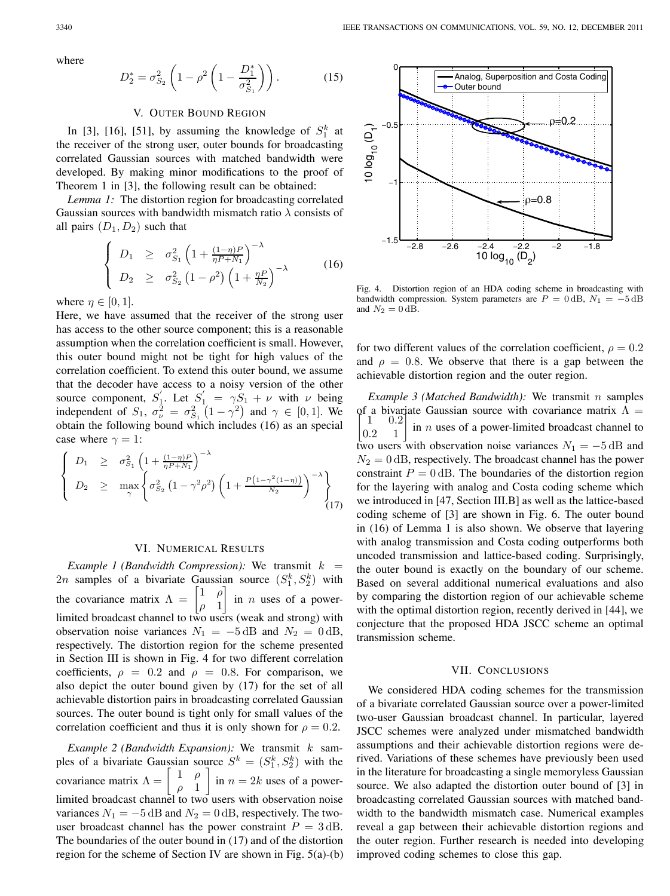where

$$
D_2^* = \sigma_{S_2}^2 \left( 1 - \rho^2 \left( 1 - \frac{D_1^*}{\sigma_{S_1}^2} \right) \right). \tag{15}
$$

#### V. OUTER BOUND REGION

In [3], [16], [51], by assuming the knowledge of  $S_1^k$  at the receiver of the strong user, outer bounds for broadcasting correlated Gaussian sources with matched bandwidth were developed. By making minor modifications to the proof of Theorem 1 in [3], the following result can be obtained:

*Lemma 1:* The distortion region for broadcasting correlated Gaussian sources with bandwidth mismatch ratio  $\lambda$  consists of all pairs  $(D_1, D_2)$  such that

$$
\begin{cases}\nD_1 \geq \sigma_{S_1}^2 \left(1 + \frac{(1-\eta)P}{\eta P + N_1}\right)^{-\lambda} \\
D_2 \geq \sigma_{S_2}^2 \left(1 - \rho^2\right) \left(1 + \frac{\eta P}{N_2}\right)^{-\lambda}\n\end{cases} (16)
$$

where  $\eta \in [0, 1]$ .

Here, we have assumed that the receiver of the strong user has access to the other source component; this is a reasonable assumption when the correlation coefficient is small. However, this outer bound might not be tight for high values of the correlation coefficient. To extend this outer bound, we assume that the decoder have access to a noisy version of the other source component,  $S_1'$ . Let  $S_1' = \gamma S_1 + \nu$  with  $\nu$  being independent of  $S_1$ ,  $\sigma_{\nu}^2 = \sigma_{S_1}^2 (1 - \gamma^2)$  and  $\gamma \in [0, 1]$ . We obtain the following bound which includes (16) as an special case where  $\gamma = 1$ :

$$
\begin{cases}\nD_1 \geq \sigma_{S_1}^2 \left(1 + \frac{(1-\eta)P}{\eta P + N_1}\right)^{-\lambda} \\
D_2 \geq \max_{\gamma} \left\{\sigma_{S_2}^2 \left(1 - \gamma^2 \rho^2\right) \left(1 + \frac{P\left(1 - \gamma^2 (1-\eta)\right)}{N_2}\right)^{-\lambda}\right\} \\
(17)\n\end{cases}
$$

### VI. NUMERICAL RESULTS

*Example 1 (Bandwidth Compression):* We transmit  $k =$ 2*n* samples of a bivariate Gaussian source  $(S_1^k, S_2^k)$  with the covariance matrix  $\Lambda = \begin{bmatrix} 1 & \rho \\ 1 & 1 \end{bmatrix}$  $\rho$  1 ] in  $n$  uses of a powerlimited broadcast channel to two users (weak and strong) with observation noise variances  $N_1 = -5$  dB and  $N_2 = 0$  dB, respectively. The distortion region for the scheme presented in Section III is shown in Fig. 4 for two different correlation coefficients,  $\rho = 0.2$  and  $\rho = 0.8$ . For comparison, we also depict the outer bound given by (17) for the set of all achievable distortion pairs in broadcasting correlated Gaussian sources. The outer bound is tight only for small values of the correlation coefficient and thus it is only shown for  $\rho = 0.2$ .

*Example 2 (Bandwidth Expansion):* We transmit  $k$  samples of a bivariate Gaussian source  $S^k = (S_1^k, S_2^k)$  with the covariance matrix  $\Lambda = \begin{bmatrix} 1 & \rho \\ \rho & 1 \end{bmatrix}$ ] in  $n = 2k$  uses of a powerlimited broadcast channel to two users with observation noise variances  $N_1 = -5$  dB and  $N_2 = 0$  dB, respectively. The twouser broadcast channel has the power constraint  $P = 3$  dB. The boundaries of the outer bound in (17) and of the distortion region for the scheme of Section IV are shown in Fig. 5(a)-(b)



Fig. 4. Distortion region of an HDA coding scheme in broadcasting with bandwidth compression. System parameters are  $P = 0$  dB,  $N_1 = -5$  dB and  $N_2 = 0$  dB.

for two different values of the correlation coefficient,  $\rho = 0.2$ and  $\rho = 0.8$ . We observe that there is a gap between the achievable distortion region and the outer region.

*Example 3 (Matched Bandwidth):* We transmit *n* samples of a bivariate Gaussian source with covariance matrix  $\Lambda = \begin{bmatrix} 1 & 0.2 \\ 0.2 & 1 \end{bmatrix}$  in *n* uses of a power-limited broadcast channel to  $0.2$ in  $n$  uses of a power-limited broadcast channel to two users with observation noise variances  $N_1 = -5$  dB and  $N_2 = 0$  dB, respectively. The broadcast channel has the power constraint  $P = 0$  dB. The boundaries of the distortion region for the layering with analog and Costa coding scheme which we introduced in [47, Section III.B] as well as the lattice-based coding scheme of [3] are shown in Fig. 6. The outer bound in (16) of Lemma 1 is also shown. We observe that layering with analog transmission and Costa coding outperforms both uncoded transmission and lattice-based coding. Surprisingly, the outer bound is exactly on the boundary of our scheme. Based on several additional numerical evaluations and also by comparing the distortion region of our achievable scheme with the optimal distortion region, recently derived in [44], we conjecture that the proposed HDA JSCC scheme an optimal transmission scheme.

## VII. CONCLUSIONS

We considered HDA coding schemes for the transmission of a bivariate correlated Gaussian source over a power-limited two-user Gaussian broadcast channel. In particular, layered JSCC schemes were analyzed under mismatched bandwidth assumptions and their achievable distortion regions were derived. Variations of these schemes have previously been used in the literature for broadcasting a single memoryless Gaussian source. We also adapted the distortion outer bound of [3] in broadcasting correlated Gaussian sources with matched bandwidth to the bandwidth mismatch case. Numerical examples reveal a gap between their achievable distortion regions and the outer region. Further research is needed into developing improved coding schemes to close this gap.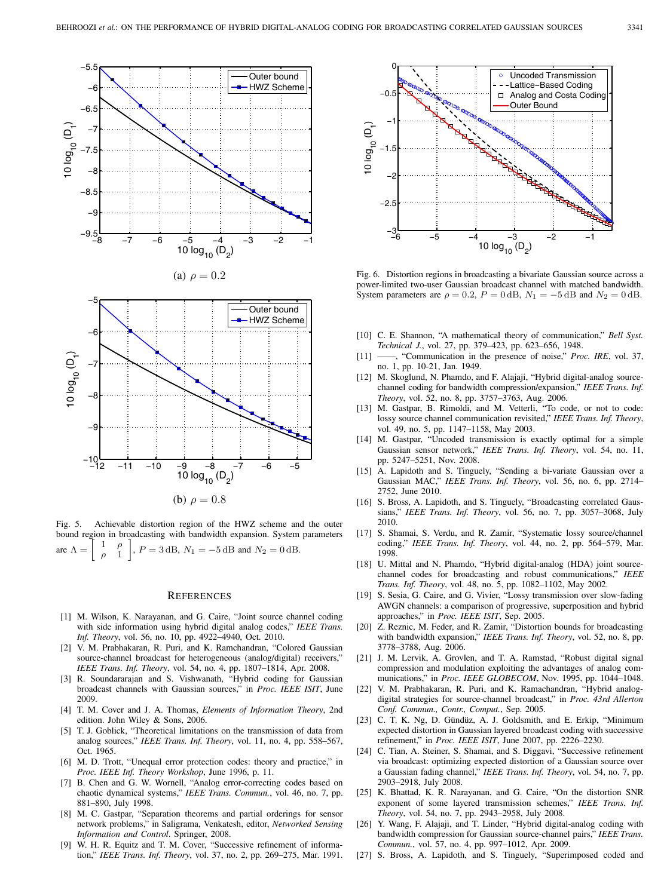



Fig. 5. Achievable distortion region of the HWZ scheme and the outer bound region in broadcasting with bandwidth expansion. System parameters are  $\Lambda = \begin{bmatrix} 1 \\ 2 \end{bmatrix}$  $\rho$  1  $\Big]$ ,  $P = 3$  dB,  $N_1 = -5$  dB and  $N_2 = 0$  dB.

#### **REFERENCES**

- [1] M. Wilson, K. Narayanan, and G. Caire, "Joint source channel coding with side information using hybrid digital analog codes," *IEEE Trans. Inf. Theory*, vol. 56, no. 10, pp. 4922–4940, Oct. 2010.
- [2] V. M. Prabhakaran, R. Puri, and K. Ramchandran, "Colored Gaussian source-channel broadcast for heterogeneous (analog/digital) receivers," *IEEE Trans. Inf. Theory*, vol. 54, no. 4, pp. 1807–1814, Apr. 2008.
- [3] R. Soundararajan and S. Vishwanath, "Hybrid coding for Gaussian broadcast channels with Gaussian sources," in *Proc. IEEE ISIT*, June 2009.
- [4] T. M. Cover and J. A. Thomas, *Elements of Information Theory*, 2nd edition. John Wiley & Sons, 2006.
- [5] T. J. Goblick, "Theoretical limitations on the transmission of data from analog sources," *IEEE Trans. Inf. Theory*, vol. 11, no. 4, pp. 558–567, Oct. 1965.
- [6] M. D. Trott, "Unequal error protection codes: theory and practice," in *Proc. IEEE Inf. Theory Workshop*, June 1996, p. 11.
- [7] B. Chen and G. W. Wornell, "Analog error-correcting codes based on chaotic dynamical systems," *IEEE Trans. Commun.*, vol. 46, no. 7, pp. 881–890, July 1998.
- [8] M. C. Gastpar, "Separation theorems and partial orderings for sensor network problems," in Saligrama, Venkatesh, editor, *Networked Sensing Information and Control*. Springer, 2008.
- [9] W. H. R. Equitz and T. M. Cover, "Successive refinement of information," *IEEE Trans. Inf. Theory*, vol. 37, no. 2, pp. 269–275, Mar. 1991.



Fig. 6. Distortion regions in broadcasting a bivariate Gaussian source across a power-limited two-user Gaussian broadcast channel with matched bandwidth. System parameters are  $\rho = 0.2$ ,  $P = 0$  dB,  $N_1 = -5$  dB and  $N_2 = 0$  dB.

- [10] C. E. Shannon, "A mathematical theory of communication," *Bell Syst. Technical J.*, vol. 27, pp. 379–423, pp. 623–656, 1948.
- [11] ——, "Communication in the presence of noise," *Proc. IRE*, vol. 37, no. 1, pp. 10-21, Jan. 1949.
- [12] M. Skoglund, N. Phamdo, and F. Alajaji, "Hybrid digital-analog sourcechannel coding for bandwidth compression/expansion," *IEEE Trans. Inf. Theory*, vol. 52, no. 8, pp. 3757–3763, Aug. 2006.
- [13] M. Gastpar, B. Rimoldi, and M. Vetterli, "To code, or not to code: lossy source channel communication revisited," *IEEE Trans. Inf. Theory*, vol. 49, no. 5, pp. 1147–1158, May 2003.
- [14] M. Gastpar, "Uncoded transmission is exactly optimal for a simple Gaussian sensor network," *IEEE Trans. Inf. Theory*, vol. 54, no. 11, pp. 5247–5251, Nov. 2008.
- [15] A. Lapidoth and S. Tinguely, "Sending a bi-variate Gaussian over a Gaussian MAC," *IEEE Trans. Inf. Theory*, vol. 56, no. 6, pp. 2714– 2752, June 2010.
- [16] S. Bross, A. Lapidoth, and S. Tinguely, "Broadcasting correlated Gaussians," *IEEE Trans. Inf. Theory*, vol. 56, no. 7, pp. 3057–3068, July 2010.
- [17] S. Shamai, S. Verdu, and R. Zamir, "Systematic lossy source/channel coding," *IEEE Trans. Inf. Theory*, vol. 44, no. 2, pp. 564–579, Mar. 1998.
- [18] U. Mittal and N. Phamdo, "Hybrid digital-analog (HDA) joint sourcechannel codes for broadcasting and robust communications," *IEEE Trans. Inf. Theory*, vol. 48, no. 5, pp. 1082–1102, May 2002.
- [19] S. Sesia, G. Caire, and G. Vivier, "Lossy transmission over slow-fading AWGN channels: a comparison of progressive, superposition and hybrid approaches," in *Proc. IEEE ISIT*, Sep. 2005.
- [20] Z. Reznic, M. Feder, and R. Zamir, "Distortion bounds for broadcasting with bandwidth expansion," *IEEE Trans. Inf. Theory*, vol. 52, no. 8, pp. 3778–3788, Aug. 2006.
- [21] J. M. Lervik, A. Grovlen, and T. A. Ramstad, "Robust digital signal compression and modulation exploiting the advantages of analog communications," in *Proc. IEEE GLOBECOM*, Nov. 1995, pp. 1044–1048.
- [22] V. M. Prabhakaran, R. Puri, and K. Ramachandran, "Hybrid analogdigital strategies for source-channel broadcast," in *Proc. 43rd Allerton Conf. Commun., Contr., Comput.*, Sep. 2005.
- [23] C. T. K. Ng, D. Gündüz, A. J. Goldsmith, and E. Erkip, "Minimum expected distortion in Gaussian layered broadcast coding with successive refinement," in *Proc. IEEE ISIT*, June 2007, pp. 2226–2230.
- [24] C. Tian, A. Steiner, S. Shamai, and S. Diggavi, "Successive refinement via broadcast: optimizing expected distortion of a Gaussian source over a Gaussian fading channel," *IEEE Trans. Inf. Theory*, vol. 54, no. 7, pp. 2903–2918, July 2008.
- [25] K. Bhattad, K. R. Narayanan, and G. Caire, "On the distortion SNR exponent of some layered transmission schemes," *IEEE Trans. Inf. Theory*, vol. 54, no. 7, pp. 2943–2958, July 2008.
- [26] Y. Wang, F. Alajaji, and T. Linder, "Hybrid digital-analog coding with bandwidth compression for Gaussian source-channel pairs," *IEEE Trans. Commun.*, vol. 57, no. 4, pp. 997–1012, Apr. 2009.
- [27] S. Bross, A. Lapidoth, and S. Tinguely, "Superimposed coded and